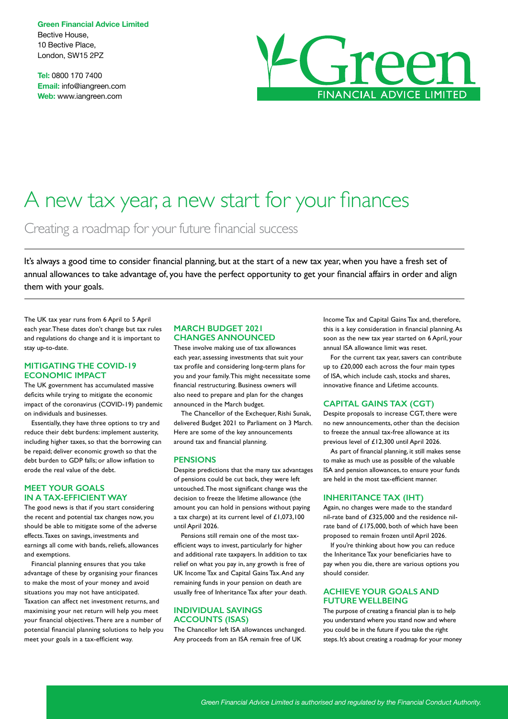**Green Financial Advice Limited** Bective House, 10 Bective Place, London, SW15 2PZ

**Tel:** 0800 170 7400 **Email:** info@iangreen.com **Web:** www.iangreen.com



# A new tax year, a new start for your finances

Creating a roadmap for your future financial success

It's always a good time to consider financial planning, but at the start of a new tax year, when you have a fresh set of annual allowances to take advantage of, you have the perfect opportunity to get your financial affairs in order and align them with your goals.

The UK tax year runs from 6 April to 5 April each year. These dates don't change but tax rules and regulations do change and it is important to stay up-to-date.

#### **MITIGATING THE COVID-19 ECONOMIC IMPACT**

The UK government has accumulated massive deficits while trying to mitigate the economic impact of the coronavirus (COVID-19) pandemic on individuals and businesses.

Essentially, they have three options to try and reduce their debt burdens: implement austerity, including higher taxes, so that the borrowing can be repaid; deliver economic growth so that the debt burden to GDP falls; or allow inflation to erode the real value of the debt.

# **MEET YOUR GOALS IN A TAX-EFFICIENT WAY**

The good news is that if you start considering the recent and potential tax changes now, you should be able to mitigate some of the adverse effects. Taxes on savings, investments and earnings all come with bands, reliefs, allowances and exemptions.

Financial planning ensures that you take advantage of these by organising your finances to make the most of your money and avoid situations you may not have anticipated. Taxation can affect net investment returns, and maximising your net return will help you meet your financial objectives. There are a number of potential financial planning solutions to help you meet your goals in a tax-efficient way.

# **MARCH BUDGET 2021 CHANGES ANNOUNCED**

These involve making use of tax allowances each year, assessing investments that suit your tax profile and considering long-term plans for you and your family. This might necessitate some financial restructuring. Business owners will also need to prepare and plan for the changes announced in the March budget.

The Chancellor of the Exchequer, Rishi Sunak, delivered Budget 2021 to Parliament on 3 March. Here are some of the key announcements around tax and financial planning.

#### **PENSIONS**

Despite predictions that the many tax advantages of pensions could be cut back, they were left untouched. The most significant change was the decision to freeze the lifetime allowance (the amount you can hold in pensions without paying a tax charge) at its current level of £1,073,100 until April 2026.

Pensions still remain one of the most taxefficient ways to invest, particularly for higher and additional rate taxpayers. In addition to tax relief on what you pay in, any growth is free of UK Income Tax and Capital Gains Tax. And any remaining funds in your pension on death are usually free of Inheritance Tax after your death.

### **INDIVIDUAL SAVINGS ACCOUNTS (ISAS)**

The Chancellor left ISA allowances unchanged. Any proceeds from an ISA remain free of UK

Income Tax and Capital Gains Tax and, therefore, this is a key consideration in financial planning. As soon as the new tax year started on 6 April, your annual ISA allowance limit was reset.

For the current tax year, savers can contribute up to £20,000 each across the four main types of ISA, which include cash, stocks and shares, innovative finance and Lifetime accounts.

# **CAPITAL GAINS TAX (CGT)**

Despite proposals to increase CGT, there were no new announcements, other than the decision to freeze the annual tax-free allowance at its previous level of £12,300 until April 2026.

As part of financial planning, it still makes sense to make as much use as possible of the valuable ISA and pension allowances, to ensure your funds are held in the most tax-efficient manner.

#### **INHERITANCE TAX (IHT)**

Again, no changes were made to the standard nil-rate band of £325,000 and the residence nilrate band of £175,000, both of which have been proposed to remain frozen until April 2026.

If you're thinking about how you can reduce the Inheritance Tax your beneficiaries have to pay when you die, there are various options you should consider.

### **ACHIEVE YOUR GOALS AND FUTURE WELLBEING**

The purpose of creating a financial plan is to help you understand where you stand now and where you could be in the future if you take the right steps. It's about creating a roadmap for your money